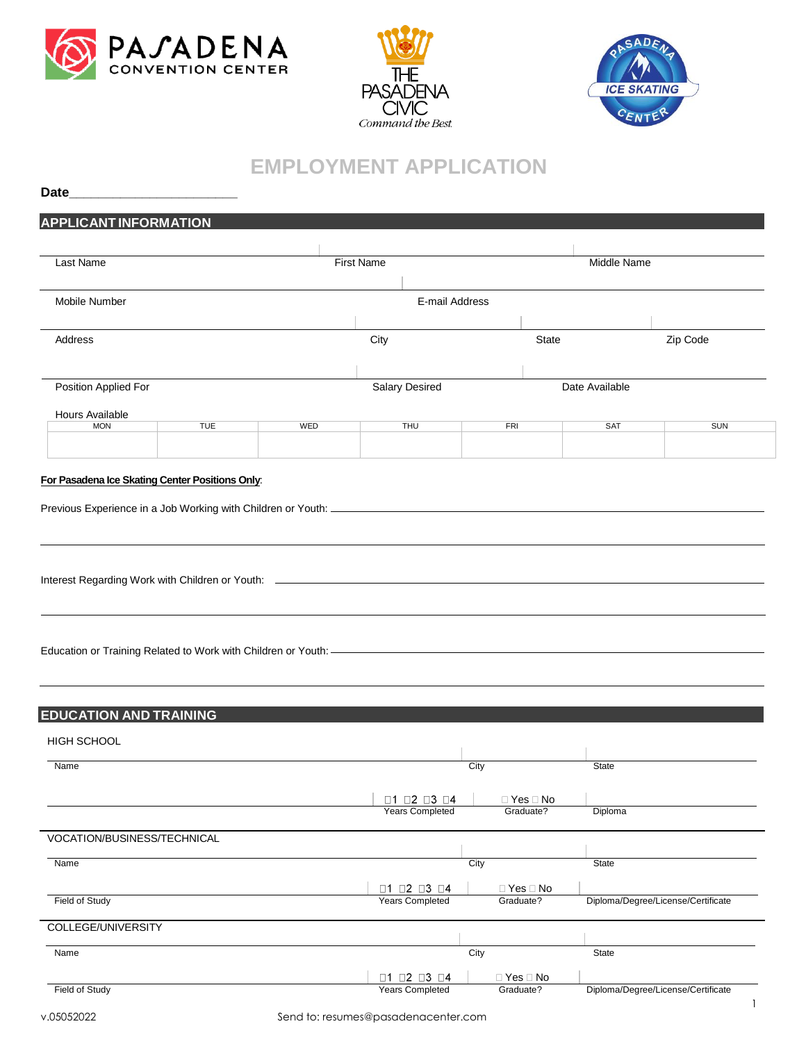





## **EMPLOYMENT APPLICATION**

| Date                                  | <u> 1989 - Jan James James Barnett, fransk politik (d. 19</u> |     |                                                               |            |                      |                |                                    |
|---------------------------------------|---------------------------------------------------------------|-----|---------------------------------------------------------------|------------|----------------------|----------------|------------------------------------|
| <b>APPLICANT INFORMATION</b>          |                                                               |     |                                                               |            |                      |                |                                    |
|                                       |                                                               |     |                                                               |            |                      |                |                                    |
| Last Name                             |                                                               |     | <b>First Name</b>                                             |            |                      | Middle Name    |                                    |
|                                       |                                                               |     |                                                               |            |                      |                |                                    |
| Mobile Number                         |                                                               |     | E-mail Address                                                |            |                      |                |                                    |
| Address                               |                                                               |     | City                                                          |            | State                |                | Zip Code                           |
|                                       |                                                               |     |                                                               |            |                      |                |                                    |
| Position Applied For                  |                                                               |     | <b>Salary Desired</b>                                         |            |                      | Date Available |                                    |
| Hours Available                       |                                                               |     |                                                               |            |                      |                |                                    |
| <b>MON</b>                            | <b>TUE</b>                                                    | WED | THU                                                           | <b>FRI</b> |                      | <b>SAT</b>     | <b>SUN</b>                         |
|                                       |                                                               |     |                                                               |            |                      |                |                                    |
|                                       | For Pasadena Ice Skating Center Positions Only:               |     |                                                               |            |                      |                |                                    |
|                                       |                                                               |     |                                                               |            |                      |                |                                    |
|                                       |                                                               |     |                                                               |            |                      |                |                                    |
|                                       |                                                               |     |                                                               |            |                      |                |                                    |
|                                       |                                                               |     |                                                               |            |                      |                |                                    |
|                                       |                                                               |     |                                                               |            |                      |                |                                    |
|                                       |                                                               |     |                                                               |            |                      |                |                                    |
|                                       |                                                               |     |                                                               |            |                      |                |                                    |
|                                       |                                                               |     |                                                               |            |                      |                |                                    |
|                                       |                                                               |     |                                                               |            |                      |                |                                    |
|                                       |                                                               |     |                                                               |            |                      |                |                                    |
|                                       |                                                               |     |                                                               |            |                      |                |                                    |
|                                       |                                                               |     |                                                               |            |                      |                |                                    |
| <b>HIGH SCHOOL</b>                    |                                                               |     |                                                               |            |                      |                |                                    |
|                                       |                                                               |     |                                                               | City       |                      | State          |                                    |
|                                       |                                                               |     |                                                               |            |                      |                |                                    |
| <b>EDUCATION AND TRAINING</b><br>Name |                                                               |     | $\Box$ 1 $\Box$ 2 $\Box$ 3 $\Box$ 4                           |            | $\Box$ Yes $\Box$ No |                |                                    |
|                                       |                                                               |     | <b>Years Completed</b>                                        |            | Graduate?            | Diploma        |                                    |
| VOCATION/BUSINESS/TECHNICAL           |                                                               |     |                                                               |            |                      |                |                                    |
| Name                                  |                                                               |     |                                                               | City       |                      | State          |                                    |
|                                       |                                                               |     |                                                               |            |                      |                |                                    |
| Field of Study                        |                                                               |     | $\Box$ 1 $\Box$ 2 $\Box$ 3 $\Box$ 4<br><b>Years Completed</b> | Graduate?  | $\Box$ Yes $\Box$ No |                | Diploma/Degree/License/Certificate |
| COLLEGE/UNIVERSITY                    |                                                               |     |                                                               |            |                      |                |                                    |
| Name                                  |                                                               |     |                                                               | City       |                      | State          |                                    |
|                                       |                                                               |     | $\Box$ 1 $\Box$ 2 $\Box$ 3 $\Box$ 4                           |            | $\Box$ Yes $\Box$ No |                |                                    |
| Field of Study                        |                                                               |     | <b>Years Completed</b>                                        | Graduate?  |                      |                | Diploma/Degree/License/Certificate |